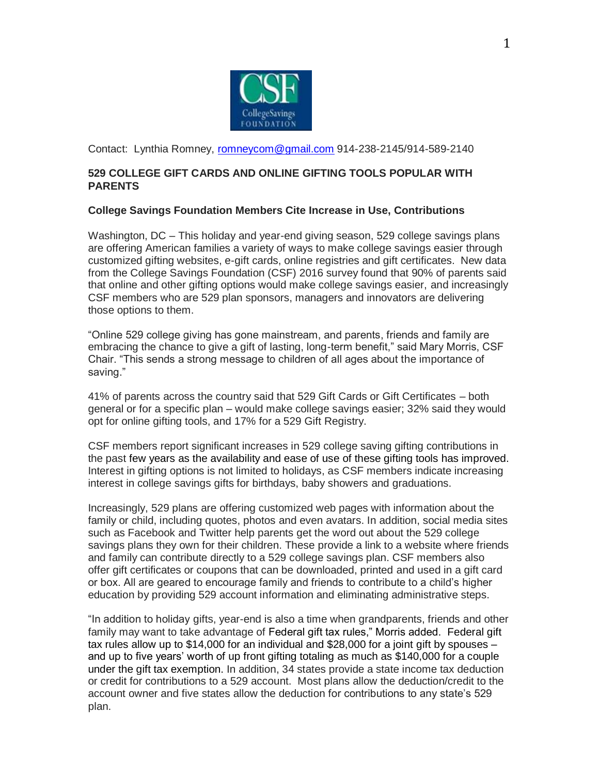

Contact: Lynthia Romney, [romneycom@gmail.com](mailto:romneycom@gmail.com) 914-238-2145/914-589-2140

## **529 COLLEGE GIFT CARDS AND ONLINE GIFTING TOOLS POPULAR WITH PARENTS**

## **College Savings Foundation Members Cite Increase in Use, Contributions**

Washington, DC – This holiday and year-end giving season, 529 college savings plans are offering American families a variety of ways to make college savings easier through customized gifting websites, e-gift cards, online registries and gift certificates. New data from the College Savings Foundation (CSF) 2016 survey found that 90% of parents said that online and other gifting options would make college savings easier, and increasingly CSF members who are 529 plan sponsors, managers and innovators are delivering those options to them.

"Online 529 college giving has gone mainstream, and parents, friends and family are embracing the chance to give a gift of lasting, long-term benefit," said Mary Morris, CSF Chair. "This sends a strong message to children of all ages about the importance of saving."

41% of parents across the country said that 529 Gift Cards or Gift Certificates – both general or for a specific plan – would make college savings easier; 32% said they would opt for online gifting tools, and 17% for a 529 Gift Registry.

CSF members report significant increases in 529 college saving gifting contributions in the past few years as the availability and ease of use of these gifting tools has improved. Interest in gifting options is not limited to holidays, as CSF members indicate increasing interest in college savings gifts for birthdays, baby showers and graduations.

Increasingly, 529 plans are offering customized web pages with information about the family or child, including quotes, photos and even avatars. In addition, social media sites such as Facebook and Twitter help parents get the word out about the 529 college savings plans they own for their children. These provide a link to a website where friends and family can contribute directly to a 529 college savings plan. CSF members also offer gift certificates or coupons that can be downloaded, printed and used in a gift card or box. All are geared to encourage family and friends to contribute to a child's higher education by providing 529 account information and eliminating administrative steps.

"In addition to holiday gifts, year-end is also a time when grandparents, friends and other family may want to take advantage of Federal gift tax rules," Morris added. Federal gift tax rules allow up to \$14,000 for an individual and \$28,000 for a joint gift by spouses – and up to five years' worth of up front gifting totaling as much as \$140,000 for a couple under the gift tax exemption. In addition, 34 states provide a state income tax deduction or credit for contributions to a 529 account. Most plans allow the deduction/credit to the account owner and five states allow the deduction for contributions to any state's 529 plan.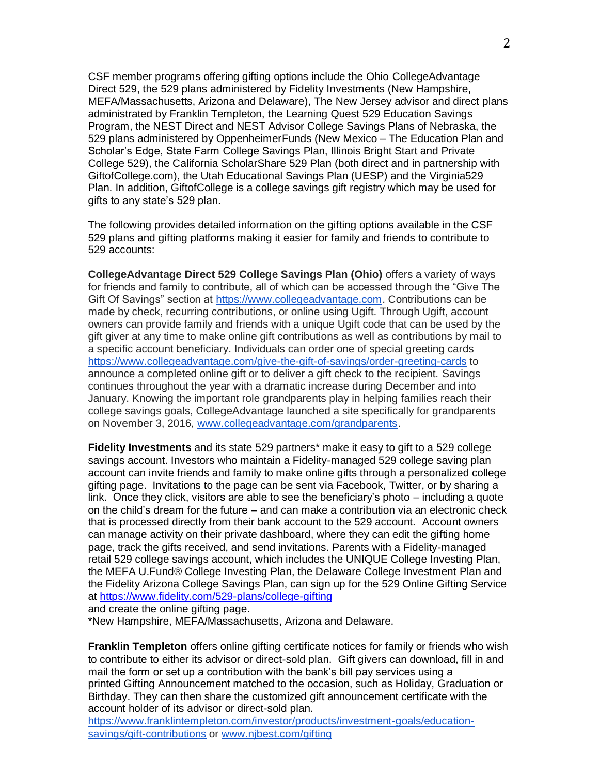CSF member programs offering gifting options include the Ohio CollegeAdvantage Direct 529, the 529 plans administered by Fidelity Investments (New Hampshire, MEFA/Massachusetts, Arizona and Delaware), The New Jersey advisor and direct plans administrated by Franklin Templeton, the Learning Quest 529 Education Savings Program, the NEST Direct and NEST Advisor College Savings Plans of Nebraska, the 529 plans administered by OppenheimerFunds (New Mexico – The Education Plan and Scholar's Edge, State Farm College Savings Plan, Illinois Bright Start and Private College 529), the California ScholarShare 529 Plan (both direct and in partnership with GiftofCollege.com), the Utah Educational Savings Plan (UESP) and the Virginia529 Plan. In addition, GiftofCollege is a college savings gift registry which may be used for gifts to any state's 529 plan.

The following provides detailed information on the gifting options available in the CSF 529 plans and gifting platforms making it easier for family and friends to contribute to 529 accounts:

**CollegeAdvantage Direct 529 College Savings Plan (Ohio)** offers a variety of ways for friends and family to contribute, all of which can be accessed through the "Give The Gift Of Savings" section at [https://www.collegeadvantage.com.](https://www.collegeadvantage.com/) Contributions can be made by check, recurring contributions, or online using Ugift. Through Ugift, account owners can provide family and friends with a unique Ugift code that can be used by the gift giver at any time to make online gift contributions as well as contributions by mail to a specific account beneficiary. Individuals can order one of special greeting cards <https://www.collegeadvantage.com/give-the-gift-of-savings/order-greeting-cards> to announce a completed online gift or to deliver a gift check to the recipient. Savings continues throughout the year with a dramatic increase during December and into January. Knowing the important role grandparents play in helping families reach their college savings goals, CollegeAdvantage launched a site specifically for grandparents on November 3, 2016, [www.collegeadvantage.com/grandparents.](http://www.collegeadvantage.com/grandparents)

**Fidelity Investments** and its state 529 partners\* make it easy to gift to a 529 college savings account. Investors who maintain a Fidelity-managed 529 college saving plan account can invite friends and family to make online gifts through a personalized college gifting page. Invitations to the page can be sent via Facebook, Twitter, or by sharing a link. Once they click, visitors are able to see the beneficiary's photo – including a quote on the child's dream for the future – and can make a contribution via an electronic check that is processed directly from their bank account to the 529 account. Account owners can manage activity on their private dashboard, where they can edit the gifting home page, track the gifts received, and send invitations. Parents with a Fidelity-managed retail 529 college savings account, which includes the UNIQUE College Investing Plan, the MEFA U.Fund® College Investing Plan, the Delaware College Investment Plan and the Fidelity Arizona College Savings Plan, can sign up for the 529 Online Gifting Service at <https://www.fidelity.com/529-plans/college-gifting>

and create the online gifting page.

\*New Hampshire, MEFA/Massachusetts, Arizona and Delaware.

**Franklin Templeton** offers online gifting certificate notices for family or friends who wish to contribute to either its advisor or direct-sold plan. Gift givers can download, fill in and mail the form or set up a contribution with the bank's bill pay services using a printed Gifting Announcement matched to the occasion, such as Holiday, Graduation or Birthday. They can then share the customized gift announcement certificate with the account holder of its advisor or direct-sold plan.

[https://www.franklintempleton.com/investor/products/investment-goals/education](https://www.franklintempleton.com/investor/products/investment-goals/education-savings/gift-contributions)[savings/gift-contributions](https://www.franklintempleton.com/investor/products/investment-goals/education-savings/gift-contributions) or www.njbest.com/gifting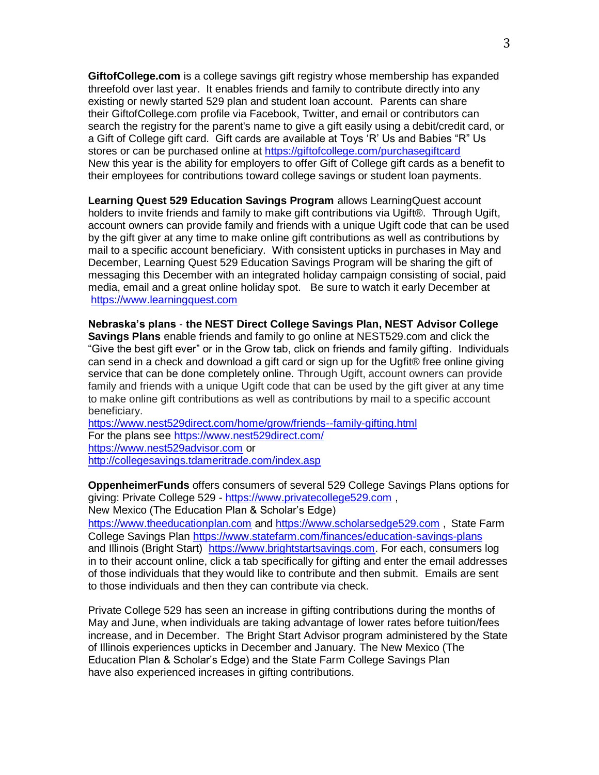**[GiftofCollege.com](http://giftofcollege.com/)** is a college savings gift registry whose membership has expanded threefold over last year. It enables friends and family to contribute directly into any existing or newly started 529 plan and student loan account. Parents can share their GiftofCollege.com profile via Facebook, Twitter, and email or contributors can search the registry for the parent's name to give a gift easily using a debit/credit card, or a Gift of College gift card. Gift cards are available at Toys 'R' Us and Babies "R" Us stores or can be purchased online at <https://giftofcollege.com/purchasegiftcard> New this year is the ability for employers to offer Gift of College gift cards as a benefit to their employees for contributions toward college savings or student loan payments.

**Learning Quest 529 Education Savings Program** allows LearningQuest account holders to invite friends and family to make gift contributions via Ugift®. Through Ugift, account owners can provide family and friends with a unique Ugift code that can be used by the gift giver at any time to make online gift contributions as well as contributions by mail to a specific account beneficiary. With consistent upticks in purchases in May and December, Learning Quest 529 Education Savings Program will be sharing the gift of messaging this December with an integrated holiday campaign consisting of social, paid media, email and a great online holiday spot. Be sure to watch it early December at [https://www.learningquest.com](https://www.learningquest.com/)

**Nebraska's plans** - **the NEST Direct College Savings Plan, NEST Advisor College Savings Plans** enable friends and family to go online at NEST529.com and click the "Give the best gift ever" or in the Grow tab, click on friends and family gifting. Individuals can send in a check and download a gift card or sign up for the Ugfit® free online giving service that can be done completely online. Through Ugift, account owners can provide family and friends with a unique Ugift code that can be used by the gift giver at any time to make online gift contributions as well as contributions by mail to a specific account beneficiary.

<https://www.nest529direct.com/home/grow/friends--family-gifting.html> For the plans see <https://www.nest529direct.com/> [https://www.nest529advisor.com](https://www.nest529advisor.com/) or <http://collegesavings.tdameritrade.com/index.asp>

**OppenheimerFunds** offers consumers of several 529 College Savings Plans options for giving: Private College 529 - [https://www.privatecollege529.com](https://www.privatecollege529.com/), New Mexico (The Education Plan & Scholar's Edge)

[https://www.theeducationplan.com](https://www.theeducationplan.com/) and [https://www.scholarsedge529.com](https://www.scholarsedge529.com/) , State Farm College Savings Plan <https://www.statefarm.com/finances/education-savings-plans> and Illinois (Bright Start) [https://www.brightstartsavings.com.](https://www.brightstartsavings.com/OFI529/) For each, consumers log in to their account online, click a tab specifically for gifting and enter the email addresses of those individuals that they would like to contribute and then submit. Emails are sent to those individuals and then they can contribute via check.

Private College 529 has seen an increase in gifting contributions during the months of May and June, when individuals are taking advantage of lower rates before tuition/fees increase, and in December. The Bright Start Advisor program administered by the State of Illinois experiences upticks in December and January. The New Mexico (The Education Plan & Scholar's Edge) and the State Farm College Savings Plan have also experienced increases in gifting contributions.